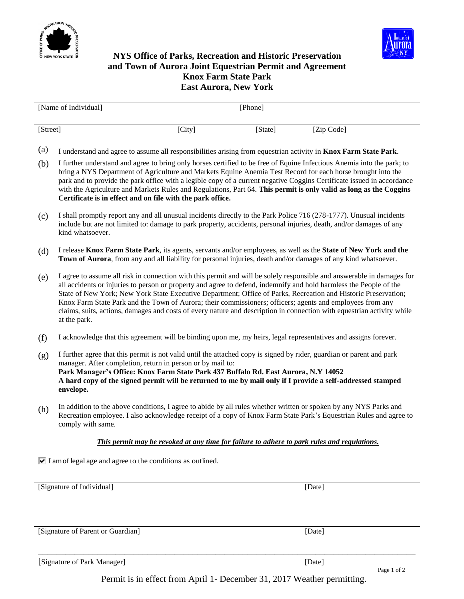



## **NYS Office of Parks, Recreation and Historic Preservation and Town of Aurora Joint Equestrian Permit and Agreement Knox Farm State Park East Aurora, New York**

| [Name of Individual] |        | [Phone] |            |
|----------------------|--------|---------|------------|
| [Street]             | [City] | [State] | [Zip Code] |

- (a) I understand and agree to assume all responsibilities arising from equestrian activity in **Knox Farm State Park**.
- (b) I further understand and agree to bring only horses certified to be free of Equine Infectious Anemia into the park; to bring a NYS Department of Agriculture and Markets Equine Anemia Test Record for each horse brought into the park and to provide the park office with a legible copy of a current negative Coggins Certificate issued in accordance with the Agriculture and Markets Rules and Regulations, Part 64. **This permit is only valid as long as the Coggins Certificate is in effect and on file with the park office.**
- (c) I shall promptly report any and all unusual incidents directly to the Park Police 716 (278-1777). Unusual incidents include but are not limited to: damage to park property, accidents, personal injuries, death, and/or damages of any kind whatsoever.
- (d) I release **Knox Farm State Park**, its agents, servants and/or employees, as well as the **State of New York and the Town of Aurora**, from any and all liability for personal injuries, death and/or damages of any kind whatsoever.
- (e) I agree to assume all risk in connection with this permit and will be solely responsible and answerable in damages for all accidents or injuries to person or property and agree to defend, indemnify and hold harmless the People of the State of New York; New York State Executive Department; Office of Parks, Recreation and Historic Preservation; Knox Farm State Park and the Town of Aurora; their commissioners; officers; agents and employees from any claims, suits, actions, damages and costs of every nature and description in connection with equestrian activity while at the park.
- (f) I acknowledge that this agreement will be binding upon me, my heirs, legal representatives and assigns forever.
- (g) I further agree that this permit is not valid until the attached copy is signed by rider, guardian or parent and park manager. After completion, return in person or by mail to: **Park Manager's Office: Knox Farm State Park 437 Buffalo Rd. East Aurora, N.Y 14052 A hard copy of the signed permit will be returned to me by mail only if I provide a self-addressed stamped envelope.**
- (h) In addition to the above conditions, I agree to abide by all rules whether written or spoken by any NYS Parks and Recreation employee. I also acknowledge receipt of a copy of Knox Farm State Park's Equestrian Rules and agree to comply with same.

#### *This permit may be revoked at any time for failure to adhere to park rules and regulations.*

 $\triangledown$  I am of legal age and agree to the conditions as outlined.

[Signature of Individual] [Date] [Date]

[Signature of Parent or Guardian] [Date] [Date]

[Signature of Park Manager] [Date] [Date]

Permit is in effect from April 1- December 31, 2017 Weather permitting.

\_\_\_\_\_\_\_\_\_\_\_\_\_\_\_\_\_\_\_\_\_\_\_\_\_\_\_\_\_\_\_\_\_\_\_\_\_\_\_\_\_\_\_\_\_\_\_\_\_\_\_\_\_\_\_\_\_\_\_\_\_\_\_\_\_\_\_\_\_\_\_\_\_\_\_\_\_\_\_\_\_\_\_